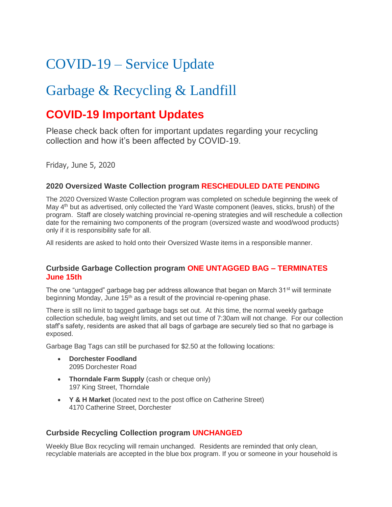# COVID-19 – Service Update

## Garbage & Recycling & Landfill

### **COVID-19 Important Updates**

Please check back often for important updates regarding your recycling collection and how it's been affected by COVID-19.

Friday, June 5, 2020

#### **2020 Oversized Waste Collection program RESCHEDULED DATE PENDING**

The 2020 Oversized Waste Collection program was completed on schedule beginning the week of May 4th but as advertised, only collected the Yard Waste component (leaves, sticks, brush) of the program. Staff are closely watching provincial re-opening strategies and will reschedule a collection date for the remaining two components of the program (oversized waste and wood/wood products) only if it is responsibility safe for all.

All residents are asked to hold onto their Oversized Waste items in a responsible manner.

#### **Curbside Garbage Collection program ONE UNTAGGED BAG – TERMINATES June 15th**

The one "untagged" garbage bag per address allowance that began on March  $31<sup>st</sup>$  will terminate beginning Monday, June 15<sup>th</sup> as a result of the provincial re-opening phase.

There is still no limit to tagged garbage bags set out. At this time, the normal weekly garbage collection schedule, bag weight limits, and set out time of 7:30am will not change. For our collection staff's safety, residents are asked that all bags of garbage are securely tied so that no garbage is exposed.

Garbage Bag Tags can still be purchased for \$2.50 at the following locations:

- **Dorchester Foodland** 2095 Dorchester Road
- **Thorndale Farm Supply** (cash or cheque only) 197 King Street, Thorndale
- **Y & H Market** (located next to the post office on Catherine Street) 4170 Catherine Street, Dorchester

#### **Curbside Recycling Collection program UNCHANGED**

Weekly Blue Box recycling will remain unchanged. Residents are reminded that only clean, recyclable materials are accepted in the blue box program. If you or someone in your household is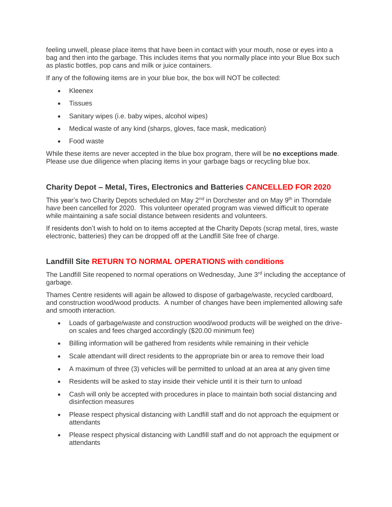feeling unwell, please place items that have been in contact with your mouth, nose or eyes into a bag and then into the garbage. This includes items that you normally place into your Blue Box such as plastic bottles, pop cans and milk or juice containers.

If any of the following items are in your blue box, the box will NOT be collected:

- Kleenex
- **Tissues**
- Sanitary wipes (i.e. baby wipes, alcohol wipes)
- Medical waste of any kind (sharps, gloves, face mask, medication)
- Food waste

While these items are never accepted in the blue box program, there will be **no exceptions made**. Please use due diligence when placing items in your garbage bags or recycling blue box.

#### **Charity Depot – Metal, Tires, Electronics and Batteries CANCELLED FOR 2020**

This year's two Charity Depots scheduled on May  $2<sup>nd</sup>$  in Dorchester and on May  $9<sup>th</sup>$  in Thorndale have been cancelled for 2020. This volunteer operated program was viewed difficult to operate while maintaining a safe social distance between residents and volunteers.

If residents don't wish to hold on to items accepted at the Charity Depots (scrap metal, tires, waste electronic, batteries) they can be dropped off at the Landfill Site free of charge.

### **Landfill Site RETURN TO NORMAL OPERATIONS with conditions**

The Landfill Site reopened to normal operations on Wednesday, June 3<sup>rd</sup> including the acceptance of garbage.

Thames Centre residents will again be allowed to dispose of garbage/waste, recycled cardboard, and construction wood/wood products. A number of changes have been implemented allowing safe and smooth interaction.

- Loads of garbage/waste and construction wood/wood products will be weighed on the driveon scales and fees charged accordingly (\$20.00 minimum fee)
- Billing information will be gathered from residents while remaining in their vehicle
- Scale attendant will direct residents to the appropriate bin or area to remove their load
- A maximum of three (3) vehicles will be permitted to unload at an area at any given time
- Residents will be asked to stay inside their vehicle until it is their turn to unload
- Cash will only be accepted with procedures in place to maintain both social distancing and disinfection measures
- Please respect physical distancing with Landfill staff and do not approach the equipment or attendants
- Please respect physical distancing with Landfill staff and do not approach the equipment or attendants